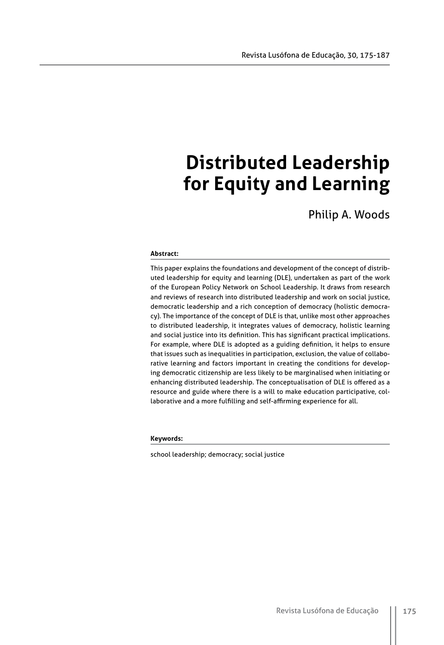# **Distributed Leadership for Equity and Learning**

Philip A. Woods

#### **Abstract:**

This paper explains the foundations and development of the concept of distributed leadership for equity and learning (DLE), undertaken as part of the work of the European Policy Network on School Leadership. It draws from research and reviews of research into distributed leadership and work on social justice, democratic leadership and a rich conception of democracy (holistic democracy). The importance of the concept of DLE is that, unlike most other approaches to distributed leadership, it integrates values of democracy, holistic learning and social justice into its definition. This has significant practical implications. For example, where DLE is adopted as a guiding definition, it helps to ensure that issues such as inequalities in participation, exclusion, the value of collaborative learning and factors important in creating the conditions for developing democratic citizenship are less likely to be marginalised when initiating or enhancing distributed leadership. The conceptualisation of DLE is offered as a resource and guide where there is a will to make education participative, collaborative and a more fulfilling and self-affirming experience for all.

**Keywords:** 

school leadership; democracy; social justice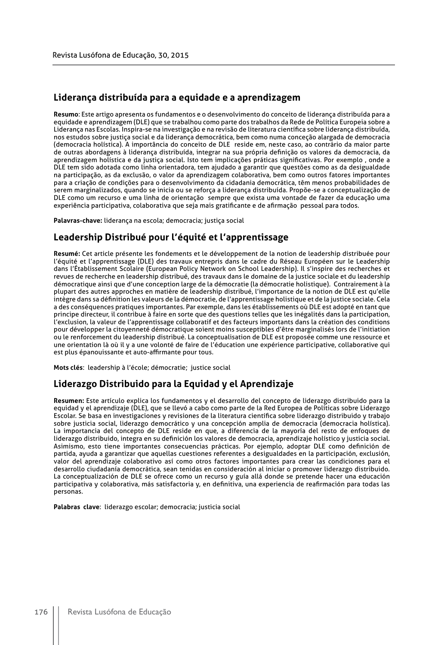## **Liderança distribuída para a equidade e a aprendizagem**

**Resumo**: Este artigo apresenta os fundamentos e o desenvolvimento do conceito de liderança distribuída para a equidade e aprendizagem (DLE) que se trabalhou como parte dos trabalhos da Rede de Política Europeia sobre a Liderança nas Escolas. Inspira-se na investigação e na revisão de literatura científica sobre liderança distribuída, nos estudos sobre justiça social e da liderança democrática, bem como numa conceção alargada de democracia (democracia holística). A importância do conceito de DLE reside em, neste caso, ao contrário da maior parte de outras abordagens à liderança distribuída, integrar na sua própria definição os valores da democracia, da aprendizagem holística e da justiça social. Isto tem implicações práticas significativas. Por exemplo , onde a DLE tem sido adotada como linha orientadora, tem ajudado a garantir que questões como as da desigualdade na participação, as da exclusão, o valor da aprendizagem colaborativa, bem como outros fatores importantes para a criação de condições para o desenvolvimento da cidadania democrática, têm menos probabilidades de serem marginalizados, quando se inicia ou se reforça a liderança distribuída. Propõe-se a conceptualização de DLE como um recurso e uma linha de orientação sempre que exista uma vontade de fazer da educação uma experiência participativa, colaborativa que seja mais gratificante e de afirmação pessoal para todos.

**Palavras-chave:** liderança na escola; democracia; justiça social

## **Leadership Distribué pour l'équité et l'apprentissage**

**Resumé:** Cet article présente les fondements et le développement de la notion de leadership distribuée pour l'équité et l'apprentissage (DLE) des travaux entrepris dans le cadre du Réseau Européen sur le Leadership dans l'Établissement Scolaire (European Policy Network on School Leadership). Il s'inspire des recherches et revues de recherche en leadership distribué, des travaux dans le domaine de la justice sociale et du leadership démocratique ainsi que d'une conception large de la démocratie (la démocratie holistique). Contrairement à la plupart des autres approches en matière de leadership distribué, l'importance de la notion de DLE est qu'elle intègre dans sa définition les valeurs de la démocratie, de l'apprentissage holistique et de la justice sociale. Cela a des conséquences pratiques importantes. Par exemple, dans les établissements où DLE est adopté en tant que principe directeur, il contribue à faire en sorte que des questions telles que les inégalités dans la participation, l'exclusion, la valeur de l'apprentissage collaboratif et des facteurs importants dans la création des conditions pour développer la citoyenneté démocratique soient moins susceptibles d'être marginalisés lors de l'initiation ou le renforcement du leadership distribué. La conceptualisation de DLE est proposée comme une ressource et une orientation là où il y a une volonté de faire de l'éducation une expérience participative, collaborative qui est plus épanouissante et auto-affirmante pour tous.

Mots clés: leadership à l'école; démocratie; justice social

## **Liderazgo Distribuido para la Equidad y el Aprendizaje**

**Resumen:** Este artículo explica los fundamentos y el desarrollo del concepto de liderazgo distribuido para la equidad y el aprendizaje (DLE), que se llevó a cabo como parte de la Red Europea de Políticas sobre Liderazgo Escolar. Se basa en investigaciones y revisiones de la literatura científica sobre liderazgo distribuido y trabajo sobre justicia social, liderazgo democrático y una concepción amplia de democracia (democracia holística). La importancia del concepto de DLE reside en que, a diferencia de la mayoría del resto de enfoques de liderazgo distribuido, integra en su definición los valores de democracia, aprendizaje holístico y justicia social. Asimismo, esto tiene importantes consecuencias prácticas. Por ejemplo, adoptar DLE como definición de partida, ayuda a garantizar que aquellas cuestiones referentes a desigualdades en la participación, exclusión, valor del aprendizaje colaborativo así como otros factores importantes para crear las condiciones para el desarrollo ciudadanía democrática, sean tenidas en consideración al iniciar o promover liderazgo distribuido. La conceptualización de DLE se ofrece como un recurso y guía allá donde se pretende hacer una educación participativa y colaborativa, más satisfactoria y, en definitiva, una experiencia de reafirmación para todas las personas.

**Palabras clave**: liderazgo escolar; democracia; justicia social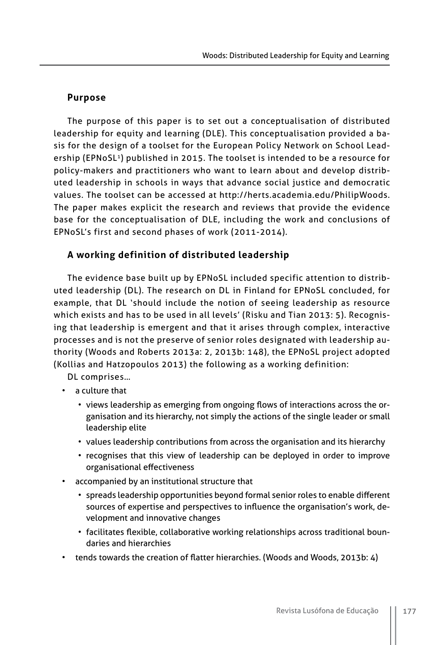## **Purpose**

The purpose of this paper is to set out a conceptualisation of distributed leadership for equity and learning (DLE). This conceptualisation provided a basis for the design of a toolset for the European Policy Network on School Leadership (EPNoSL<sup>1</sup>) published in 2015. The toolset is intended to be a resource for policy-makers and practitioners who want to learn about and develop distributed leadership in schools in ways that advance social justice and democratic values. The toolset can be accessed at http://herts.academia.edu/PhilipWoods. The paper makes explicit the research and reviews that provide the evidence base for the conceptualisation of DLE, including the work and conclusions of EPNoSL's first and second phases of work (2011-2014).

## **A working definition of distributed leadership**

The evidence base built up by EPNoSL included specific attention to distributed leadership (DL). The research on DL in Finland for EPNoSL concluded, for example, that DL 'should include the notion of seeing leadership as resource which exists and has to be used in all levels' (Risku and Tian 2013: 5). Recognising that leadership is emergent and that it arises through complex, interactive processes and is not the preserve of senior roles designated with leadership authority (Woods and Roberts 2013a: 2, 2013b: 148), the EPNoSL project adopted (Kollias and Hatzopoulos 2013) the following as a working definition:

DL comprises…

- a culture that
	- views leadership as emerging from ongoing flows of interactions across the organisation and its hierarchy, not simply the actions of the single leader or small leadership elite
	- values leadership contributions from across the organisation and its hierarchy
	- recognises that this view of leadership can be deployed in order to improve organisational effectiveness
- accompanied by an institutional structure that
	- spreads leadership opportunities beyond formal senior roles to enable different sources of expertise and perspectives to influence the organisation's work, development and innovative changes
	- facilitates flexible, collaborative working relationships across traditional boundaries and hierarchies
- tends towards the creation of flatter hierarchies. (Woods and Woods, 2013b: 4)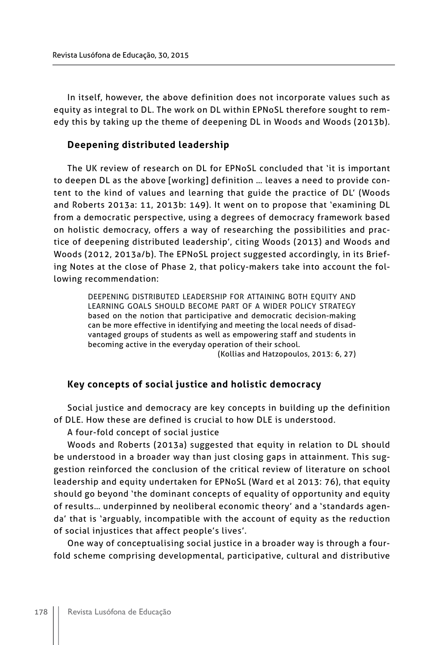In itself, however, the above definition does not incorporate values such as equity as integral to DL. The work on DL within EPNoSL therefore sought to remedy this by taking up the theme of deepening DL in Woods and Woods (2013b).

## **Deepening distributed leadership**

The UK review of research on DL for EPNoSL concluded that 'it is important to deepen DL as the above [working] definition … leaves a need to provide content to the kind of values and learning that guide the practice of DL' (Woods and Roberts 2013a: 11, 2013b: 149). It went on to propose that 'examining DL from a democratic perspective, using a degrees of democracy framework based on holistic democracy, offers a way of researching the possibilities and practice of deepening distributed leadership', citing Woods (2013) and Woods and Woods (2012, 2013a/b). The EPNoSL project suggested accordingly, in its Briefing Notes at the close of Phase 2, that policy-makers take into account the following recommendation:

> DEEPENING DISTRIBUTED LEADERSHIP FOR ATTAINING BOTH EQUITY AND LEARNING GOALS SHOULD BECOME PART OF A WIDER POLICY STRATEGY based on the notion that participative and democratic decision-making can be more effective in identifying and meeting the local needs of disadvantaged groups of students as well as empowering staff and students in becoming active in the everyday operation of their school.

(Kollias and Hatzopoulos, 2013: 6, 27)

## **Key concepts of social justice and holistic democracy**

Social justice and democracy are key concepts in building up the definition of DLE. How these are defined is crucial to how DLE is understood.

A four-fold concept of social justice

Woods and Roberts (2013a) suggested that equity in relation to DL should be understood in a broader way than just closing gaps in attainment. This suggestion reinforced the conclusion of the critical review of literature on school leadership and equity undertaken for EPNoSL (Ward et al 2013: 76), that equity should go beyond 'the dominant concepts of equality of opportunity and equity of results… underpinned by neoliberal economic theory' and a 'standards agenda' that is 'arguably, incompatible with the account of equity as the reduction of social injustices that affect people's lives'.

One way of conceptualising social justice in a broader way is through a fourfold scheme comprising developmental, participative, cultural and distributive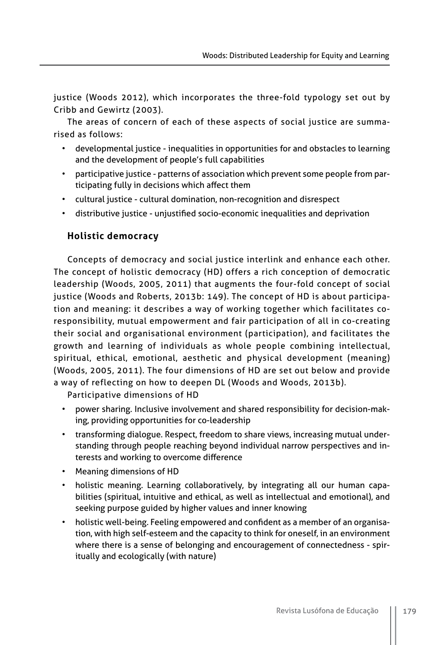justice (Woods 2012), which incorporates the three-fold typology set out by Cribb and Gewirtz (2003).

The areas of concern of each of these aspects of social justice are summarised as follows:

- developmental justice inequalities in opportunities for and obstacles to learning and the development of people's full capabilities
- participative justice patterns of association which prevent some people from participating fully in decisions which affect them
- cultural justice cultural domination, non-recognition and disrespect
- distributive justice unjustified socio-economic inequalities and deprivation

## **Holistic democracy**

Concepts of democracy and social justice interlink and enhance each other. The concept of holistic democracy (HD) offers a rich conception of democratic leadership (Woods, 2005, 2011) that augments the four-fold concept of social justice (Woods and Roberts, 2013b: 149). The concept of HD is about participation and meaning: it describes a way of working together which facilitates coresponsibility, mutual empowerment and fair participation of all in co-creating their social and organisational environment (participation), and facilitates the growth and learning of individuals as whole people combining intellectual, spiritual, ethical, emotional, aesthetic and physical development (meaning) (Woods, 2005, 2011). The four dimensions of HD are set out below and provide a way of reflecting on how to deepen DL (Woods and Woods, 2013b).

Participative dimensions of HD

- power sharing. Inclusive involvement and shared responsibility for decision-making, providing opportunities for co-leadership
- transforming dialogue. Respect, freedom to share views, increasing mutual understanding through people reaching beyond individual narrow perspectives and interests and working to overcome difference
- Meaning dimensions of HD
- holistic meaning. Learning collaboratively, by integrating all our human capabilities (spiritual, intuitive and ethical, as well as intellectual and emotional), and seeking purpose guided by higher values and inner knowing
- holistic well-being. Feeling empowered and confident as a member of an organisation, with high self-esteem and the capacity to think for oneself, in an environment where there is a sense of belonging and encouragement of connectedness - spiritually and ecologically (with nature)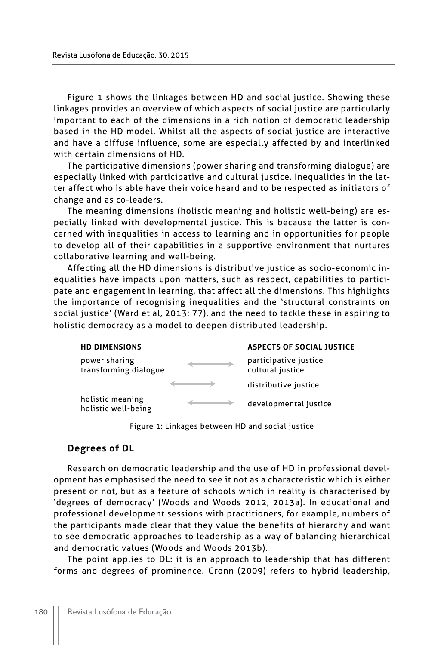Figure 1 shows the linkages between HD and social justice. Showing these linkages provides an overview of which aspects of social justice are particularly important to each of the dimensions in a rich notion of democratic leadership based in the HD model. Whilst all the aspects of social justice are interactive and have a diffuse influence, some are especially affected by and interlinked with certain dimensions of HD.

The participative dimensions (power sharing and transforming dialogue) are especially linked with participative and cultural justice. Inequalities in the latter affect who is able have their voice heard and to be respected as initiators of change and as co-leaders.

The meaning dimensions (holistic meaning and holistic well-being) are especially linked with developmental justice. This is because the latter is concerned with inequalities in access to learning and in opportunities for people to develop all of their capabilities in a supportive environment that nurtures collaborative learning and well-being.

Affecting all the HD dimensions is distributive justice as socio-economic inequalities have impacts upon matters, such as respect, capabilities to participate and engagement in learning, that affect all the dimensions. This highlights the importance of recognising inequalities and the 'structural constraints on social justice' (Ward et al, 2013: 77), and the need to tackle these in aspiring to holistic democracy as a model to deepen distributed leadership.



Figure 1: Linkages between HD and social justice

#### **Degrees of DL**

Research on democratic leadership and the use of HD in professional development has emphasised the need to see it not as a characteristic which is either present or not, but as a feature of schools which in reality is characterised by 'degrees of democracy' (Woods and Woods 2012, 2013a). In educational and professional development sessions with practitioners, for example, numbers of the participants made clear that they value the benefits of hierarchy and want to see democratic approaches to leadership as a way of balancing hierarchical and democratic values (Woods and Woods 2013b).

The point applies to DL: it is an approach to leadership that has different forms and degrees of prominence. Gronn (2009) refers to hybrid leadership,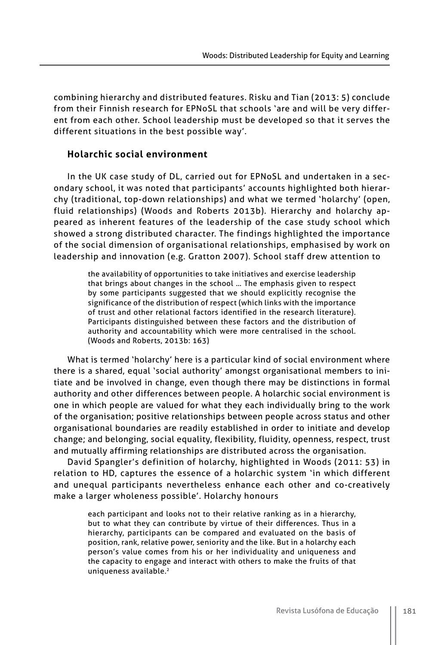combining hierarchy and distributed features. Risku and Tian (2013: 5) conclude from their Finnish research for EPNoSL that schools 'are and will be very different from each other. School leadership must be developed so that it serves the different situations in the best possible way'.

## **Holarchic social environment**

In the UK case study of DL, carried out for EPNoSL and undertaken in a secondary school, it was noted that participants' accounts highlighted both hierarchy (traditional, top-down relationships) and what we termed 'holarchy' (open, fluid relationships) (Woods and Roberts 2013b). Hierarchy and holarchy appeared as inherent features of the leadership of the case study school which showed a strong distributed character. The findings highlighted the importance of the social dimension of organisational relationships, emphasised by work on leadership and innovation (e.g. Gratton 2007). School staff drew attention to

> the availability of opportunities to take initiatives and exercise leadership that brings about changes in the school … The emphasis given to respect by some participants suggested that we should explicitly recognise the significance of the distribution of respect (which links with the importance of trust and other relational factors identified in the research literature). Participants distinguished between these factors and the distribution of authority and accountability which were more centralised in the school. (Woods and Roberts, 2013b: 163)

What is termed 'holarchy' here is a particular kind of social environment where there is a shared, equal 'social authority' amongst organisational members to initiate and be involved in change, even though there may be distinctions in formal authority and other differences between people. A holarchic social environment is one in which people are valued for what they each individually bring to the work of the organisation; positive relationships between people across status and other organisational boundaries are readily established in order to initiate and develop change; and belonging, social equality, flexibility, fluidity, openness, respect, trust and mutually affirming relationships are distributed across the organisation.

David Spangler's definition of holarchy, highlighted in Woods (2011: 53) in relation to HD, captures the essence of a holarchic system 'in which different and unequal participants nevertheless enhance each other and co-creatively make a larger wholeness possible'. Holarchy honours

> each participant and looks not to their relative ranking as in a hierarchy, but to what they can contribute by virtue of their differences. Thus in a hierarchy, participants can be compared and evaluated on the basis of position, rank, relative power, seniority and the like. But in a holarchy each person's value comes from his or her individuality and uniqueness and the capacity to engage and interact with others to make the fruits of that uniqueness available.<sup>2</sup>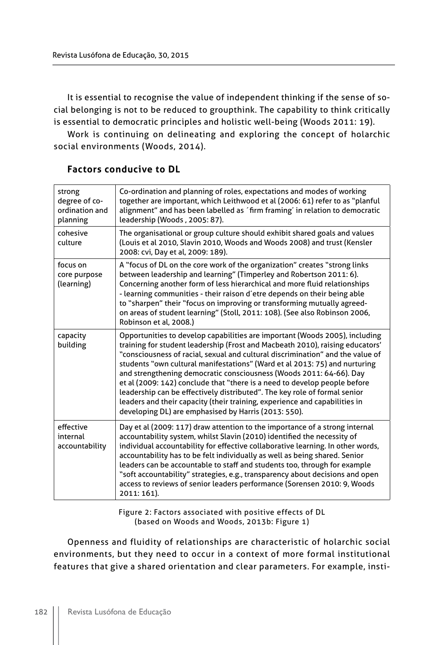It is essential to recognise the value of independent thinking if the sense of social belonging is not to be reduced to groupthink. The capability to think critically is essential to democratic principles and holistic well-being (Woods 2011: 19).

Work is continuing on delineating and exploring the concept of holarchic social environments (Woods, 2014).

| strong<br>degree of co-<br>ordination and<br>planning | Co-ordination and planning of roles, expectations and modes of working<br>together are important, which Leithwood et al (2006: 61) refer to as "planful<br>alignment" and has been labelled as 'firm framing' in relation to democratic<br>leadership (Woods, 2005: 87).                                                                                                                                                                                                                                                                                                                                                                                                                            |
|-------------------------------------------------------|-----------------------------------------------------------------------------------------------------------------------------------------------------------------------------------------------------------------------------------------------------------------------------------------------------------------------------------------------------------------------------------------------------------------------------------------------------------------------------------------------------------------------------------------------------------------------------------------------------------------------------------------------------------------------------------------------------|
| cohesive<br>culture                                   | The organisational or group culture should exhibit shared goals and values<br>(Louis et al 2010, Slavin 2010, Woods and Woods 2008) and trust (Kensler<br>2008: cvi, Day et al, 2009: 189).                                                                                                                                                                                                                                                                                                                                                                                                                                                                                                         |
| focus on<br>core purpose<br>(learning)                | A "focus of DL on the core work of the organization" creates "strong links<br>between leadership and learning" (Timperley and Robertson 2011: 6).<br>Concerning another form of less hierarchical and more fluid relationships<br>- learning communities - their raison d'etre depends on their being able<br>to "sharpen" their "focus on improving or transforming mutually agreed-<br>on areas of student learning" (Stoll, 2011: 108). (See also Robinson 2006,<br>Robinson et al, 2008.)                                                                                                                                                                                                       |
| capacity<br>building                                  | Opportunities to develop capabilities are important (Woods 2005), including<br>training for student leadership (Frost and Macbeath 2010), raising educators'<br>"consciousness of racial, sexual and cultural discrimination" and the value of<br>students "own cultural manifestations" (Ward et al 2013: 75) and nurturing<br>and strengthening democratic consciousness (Woods 2011: 64-66). Day<br>et al (2009: 142) conclude that "there is a need to develop people before<br>leadership can be effectively distributed". The key role of formal senior<br>leaders and their capacity (their training, experience and capabilities in<br>developing DL) are emphasised by Harris (2013: 550). |
| effective<br>internal<br>accountability               | Day et al (2009: 117) draw attention to the importance of a strong internal<br>accountability system, whilst Slavin (2010) identified the necessity of<br>individual accountability for effective collaborative learning. In other words,<br>accountability has to be felt individually as well as being shared. Senior<br>leaders can be accountable to staff and students too, through for example<br>"soft accountability" strategies, e.g., transparency about decisions and open<br>access to reviews of senior leaders performance (Sorensen 2010: 9, Woods<br>2011: 161).                                                                                                                    |

## **Factors conducive to DL**

Figure 2: Factors associated with positive effects of DL (based on Woods and Woods, 2013b: Figure 1)

Openness and fluidity of relationships are characteristic of holarchic social environments, but they need to occur in a context of more formal institutional features that give a shared orientation and clear parameters. For example, insti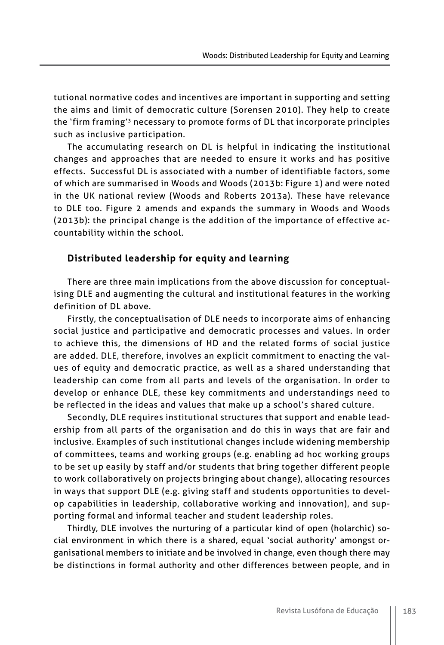tutional normative codes and incentives are important in supporting and setting the aims and limit of democratic culture (Sorensen 2010). They help to create the 'firm framing'3 necessary to promote forms of DL that incorporate principles such as inclusive participation.

The accumulating research on DL is helpful in indicating the institutional changes and approaches that are needed to ensure it works and has positive effects. Successful DL is associated with a number of identifiable factors, some of which are summarised in Woods and Woods (2013b: Figure 1) and were noted in the UK national review (Woods and Roberts 2013a). These have relevance to DLE too. Figure 2 amends and expands the summary in Woods and Woods (2013b): the principal change is the addition of the importance of effective accountability within the school.

## **Distributed leadership for equity and learning**

There are three main implications from the above discussion for conceptualising DLE and augmenting the cultural and institutional features in the working definition of DL above.

Firstly, the conceptualisation of DLE needs to incorporate aims of enhancing social justice and participative and democratic processes and values. In order to achieve this, the dimensions of HD and the related forms of social justice are added. DLE, therefore, involves an explicit commitment to enacting the values of equity and democratic practice, as well as a shared understanding that leadership can come from all parts and levels of the organisation. In order to develop or enhance DLE, these key commitments and understandings need to be reflected in the ideas and values that make up a school's shared culture.

Secondly, DLE requires institutional structures that support and enable leadership from all parts of the organisation and do this in ways that are fair and inclusive. Examples of such institutional changes include widening membership of committees, teams and working groups (e.g. enabling ad hoc working groups to be set up easily by staff and/or students that bring together different people to work collaboratively on projects bringing about change), allocating resources in ways that support DLE (e.g. giving staff and students opportunities to develop capabilities in leadership, collaborative working and innovation), and supporting formal and informal teacher and student leadership roles.

Thirdly, DLE involves the nurturing of a particular kind of open (holarchic) social environment in which there is a shared, equal 'social authority' amongst organisational members to initiate and be involved in change, even though there may be distinctions in formal authority and other differences between people, and in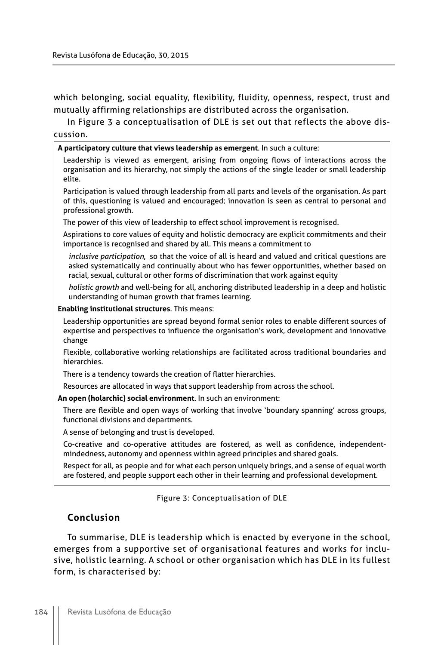which belonging, social equality, flexibility, fluidity, openness, respect, trust and mutually affirming relationships are distributed across the organisation.

In Figure 3 a conceptualisation of DLE is set out that reflects the above discussion.

**A participatory culture that views leadership as emergent**. In such a culture:

Leadership is viewed as emergent, arising from ongoing flows of interactions across the organisation and its hierarchy, not simply the actions of the single leader or small leadership elite.

Participation is valued through leadership from all parts and levels of the organisation. As part of this, questioning is valued and encouraged; innovation is seen as central to personal and professional growth.

The power of this view of leadership to effect school improvement is recognised.

Aspirations to core values of equity and holistic democracy are explicit commitments and their importance is recognised and shared by all. This means a commitment to

*inclusive participation*, so that the voice of all is heard and valued and critical questions are asked systematically and continually about who has fewer opportunities, whether based on racial, sexual, cultural or other forms of discrimination that work against equity

*holistic growth* and well-being for all, anchoring distributed leadership in a deep and holistic understanding of human growth that frames learning.

**Enabling institutional structures**. This means:

Leadership opportunities are spread beyond formal senior roles to enable different sources of expertise and perspectives to influence the organisation's work, development and innovative change

Flexible, collaborative working relationships are facilitated across traditional boundaries and hierarchies.

There is a tendency towards the creation of flatter hierarchies.

Resources are allocated in ways that support leadership from across the school.

**An open (holarchic) social environment**. In such an environment:

There are flexible and open ways of working that involve 'boundary spanning' across groups, functional divisions and departments.

A sense of belonging and trust is developed.

Co-creative and co-operative attitudes are fostered, as well as confidence, independentmindedness, autonomy and openness within agreed principles and shared goals.

Respect for all, as people and for what each person uniquely brings, and a sense of equal worth are fostered, and people support each other in their learning and professional development.

Figure 3: Conceptualisation of DLE

## **Conclusion**

To summarise, DLE is leadership which is enacted by everyone in the school, emerges from a supportive set of organisational features and works for inclusive, holistic learning. A school or other organisation which has DLE in its fullest form, is characterised by: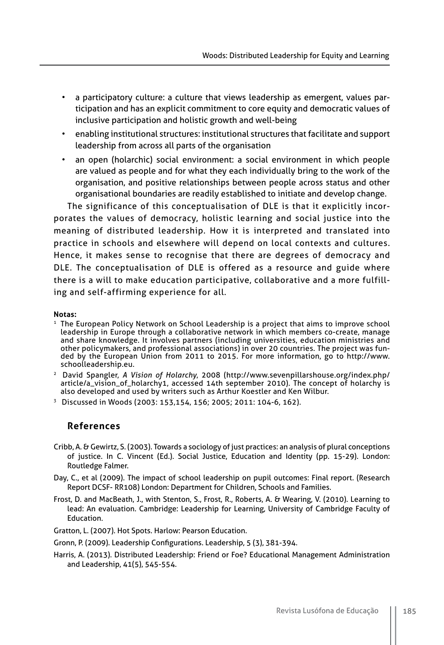- a participatory culture: a culture that views leadership as emergent, values participation and has an explicit commitment to core equity and democratic values of inclusive participation and holistic growth and well-being
- enabling institutional structures: institutional structures that facilitate and support leadership from across all parts of the organisation
- an open (holarchic) social environment: a social environment in which people are valued as people and for what they each individually bring to the work of the organisation, and positive relationships between people across status and other organisational boundaries are readily established to initiate and develop change.

The significance of this conceptualisation of DLE is that it explicitly incorporates the values of democracy, holistic learning and social justice into the meaning of distributed leadership. How it is interpreted and translated into practice in schools and elsewhere will depend on local contexts and cultures. Hence, it makes sense to recognise that there are degrees of democracy and DLE. The conceptualisation of DLE is offered as a resource and guide where there is a will to make education participative, collaborative and a more fulfilling and self-affirming experience for all.

#### **Notas:**

- <sup>1</sup> The European Policy Network on School Leadership is a project that aims to improve school leadership in Europe through a collaborative network in which members co-create, manage and share knowledge. It involves partners (including universities, education ministries and other policymakers, and professional associations) in over 20 countries. The project was funded by the European Union from 2011 to 2015. For more information, go to http://www. schoolleadership.eu.
- <sup>2</sup> David Spangler, *A Vision of Holarchy*, 2008 (http://www.sevenpillarshouse.org/index.php/ article/a\_vision\_of\_holarchy1, accessed 14th september 2010). The concept of holarchy is also developed and used by writers such as Arthur Koestler and Ken Wilbur.
- <sup>3</sup> Discussed in Woods (2003: 153,154, 156; 2005; 2011: 104-6, 162).

## **References**

- Cribb, A. & Gewirtz, S. (2003). Towards a sociology of just practices: an analysis of plural conceptions of justice. In C. Vincent (Ed.). Social Justice, Education and Identity (pp. 15-29). London: Routledge Falmer.
- Day, C., et al (2009). The impact of school leadership on pupil outcomes: Final report. (Research Report DCSF- RR108) London: Department for Children, Schools and Families.
- Frost, D. and MacBeath, J., with Stenton, S., Frost, R., Roberts, A. & Wearing, V. (2010). Learning to lead: An evaluation. Cambridge: Leadership for Learning, University of Cambridge Faculty of Education.

Gratton, L. (2007). Hot Spots. Harlow: Pearson Education.

- Gronn, P. (2009). Leadership Configurations. Leadership, 5 (3), 381-394.
- Harris, A. (2013). Distributed Leadership: Friend or Foe? Educational Management Administration and Leadership, 41(5), 545-554.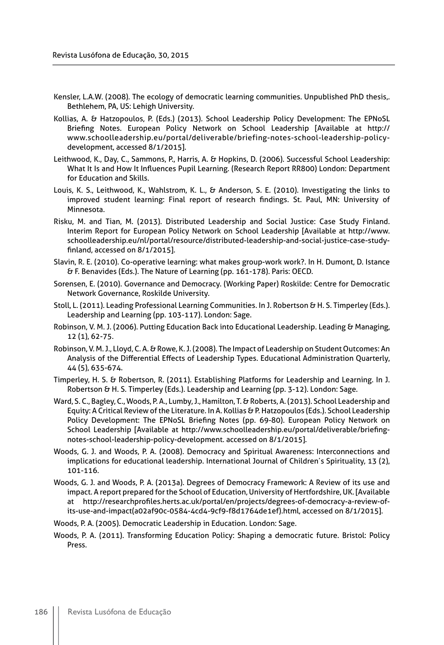- Kensler, L.A.W. (2008). The ecology of democratic learning communities. Unpublished PhD thesis,. Bethlehem, PA, US: Lehigh University.
- Kollias, A. & Hatzopoulos, P. (Eds.) (2013). School Leadership Policy Development: The EPNoSL Briefing Notes. European Policy Network on School Leadership [Available at http:// www.schoolleadership.eu/portal/deliverable/briefing-notes-school-leadership-policydevelopment, accessed 8/1/2015].
- Leithwood, K., Day, C., Sammons, P., Harris, A. & Hopkins, D. (2006). Successful School Leadership: What It Is and How It Influences Pupil Learning. (Research Report RR800) London: Department for Education and Skills.
- Louis, K. S., Leithwood, K., Wahlstrom, K. L., & Anderson, S. E. (2010). Investigating the links to improved student learning: Final report of research findings. St. Paul, MN: University of Minnesota.
- Risku, M. and Tian, M. (2013). Distributed Leadership and Social Justice: Case Study Finland. Interim Report for European Policy Network on School Leadership [Available at http://www. schoolleadership.eu/nl/portal/resource/distributed-leadership-and-social-justice-case-studyfinland, accessed on 8/1/2015].
- Slavin, R. E. (2010). Co-operative learning: what makes group-work work?. In H. Dumont, D. Istance & F. Benavides (Eds.). The Nature of Learning (pp. 161-178). Paris: OECD.
- Sorensen, E. (2010). Governance and Democracy. (Working Paper) Roskilde: Centre for Democratic Network Governance, Roskilde University.
- Stoll, L. (2011). Leading Professional Learning Communities. In J. Robertson & H. S. Timperley (Eds.). Leadership and Learning (pp. 103-117). London: Sage.
- Robinson, V. M. J. (2006). Putting Education Back into Educational Leadership. Leading & Managing, 12 (1), 62-75.
- Robinson, V. M. J., Lloyd, C. A. & Rowe, K. J. (2008). The Impact of Leadership on Student Outcomes: An Analysis of the Differential Effects of Leadership Types. Educational Administration Quarterly, 44 (5), 635-674.
- Timperley, H. S. & Robertson, R. (2011). Establishing Platforms for Leadership and Learning. In J. Robertson & H. S. Timperley (Eds.). Leadership and Learning (pp. 3-12). London: Sage.
- Ward, S. C., Bagley, C., Woods, P. A., Lumby, J., Hamilton, T. & Roberts, A. (2013). School Leadership and Equity: A Critical Review of the Literature. In A. Kollias & P. Hatzopoulos (Eds.). School Leadership Policy Development: The EPNoSL Briefing Notes (pp. 69-80). European Policy Network on School Leadership [Available at http://www.schoolleadership.eu/portal/deliverable/briefingnotes-school-leadership-policy-development. accessed on 8/1/2015].
- Woods, G. J. and Woods, P. A. (2008). Democracy and Spiritual Awareness: Interconnections and implications for educational leadership. International Journal of Children's Spirituality, 13 (2), 101-116.
- Woods, G. J. and Woods, P. A. (2013a). Degrees of Democracy Framework: A Review of its use and impact. A report prepared for the School of Education, University of Hertfordshire, UK. [Available at http://researchprofiles.herts.ac.uk/portal/en/projects/degrees-of-democracy-a-review-ofits-use-and-impact(a02af90c-0584-4cd4-9cf9-f8d1764de1ef).html, accessed on 8/1/2015].
- Woods, P. A. (2005). Democratic Leadership in Education. London: Sage.
- Woods, P. A. (2011). Transforming Education Policy: Shaping a democratic future. Bristol: Policy **Press**